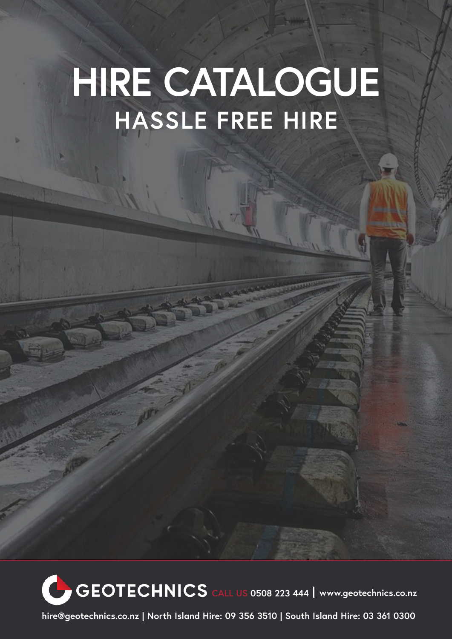# **HIRE CATALOGUE HASSLE FREE HIRE**

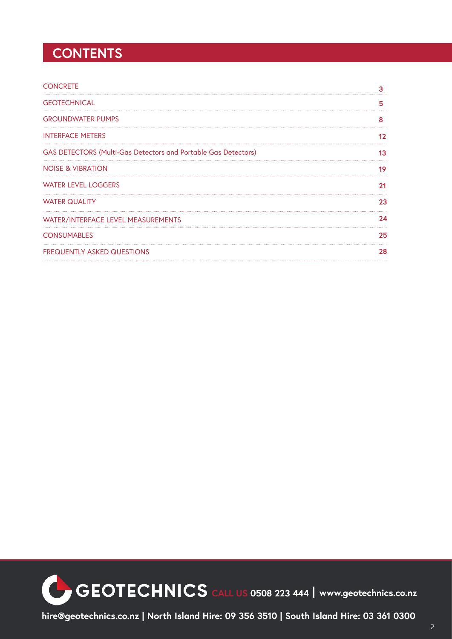## **CONTENTS**

| <b>CONCRETE</b>                                                       |    |
|-----------------------------------------------------------------------|----|
| <b>GEOTECHNICAL</b>                                                   | 5  |
| <b>GROUNDWATER PUMPS</b>                                              |    |
| <b>INTERFACE METERS</b>                                               |    |
| <b>GAS DETECTORS (Multi-Gas Detectors and Portable Gas Detectors)</b> | 13 |
| <b>NOISE &amp; VIBRATION</b>                                          | 19 |
| <b>WATER LEVEL LOGGERS</b>                                            |    |
| <b>WATER QUALITY</b>                                                  | 23 |
| WATER/INTERFACE LEVEL MEASUREMENTS                                    | 7Δ |
| <b>CONSUMABLES</b>                                                    | 25 |
| <b>FREQUENTLY ASKED QUESTIONS</b>                                     | 28 |

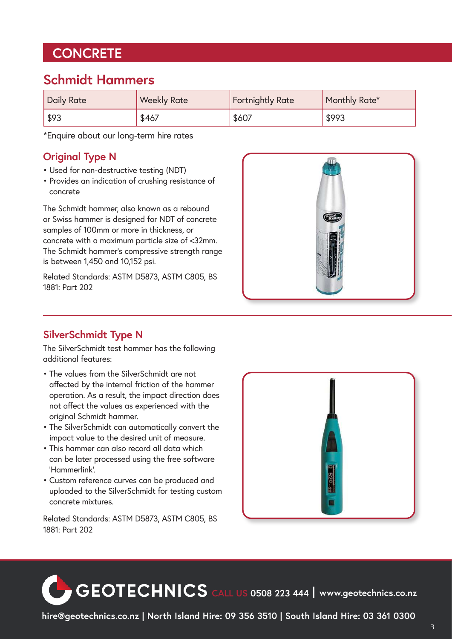## **CONCRETE**

#### **Schmidt Hammers**

| <b>Daily Rate</b> | <b>Weekly Rate</b> | <b>Fortnightly Rate</b> | Monthly Rate* |
|-------------------|--------------------|-------------------------|---------------|
| $1$ \$93          | \$467              | \$607                   | \$993         |

\*Enquire about our long-term hire rates

#### **Original Type N**

- Used for non-destructive testing (NDT)
- Provides an indication of crushing resistance of concrete

The Schmidt hammer, also known as a rebound or Swiss hammer is designed for NDT of concrete samples of 100mm or more in thickness, or concrete with a maximum particle size of <32mm. The Schmidt hammer's compressive strength range is between 1,450 and 10,152 psi.

Related Standards: ASTM D5873, ASTM C805, BS 1881: Part 202



#### **SilverSchmidt Type N**

The SilverSchmidt test hammer has the following additional features:

- The values from the SilverSchmidt are not affected by the internal friction of the hammer operation. As a result, the impact direction does not affect the values as experienced with the original Schmidt hammer.
- The SilverSchmidt can automatically convert the impact value to the desired unit of measure.
- This hammer can also record all data which can be later processed using the free software 'Hammerlink'.
- Custom reference curves can be produced and uploaded to the SilverSchmidt for testing custom concrete mixtures.



Related Standards: ASTM D5873, ASTM C805, BS 1881: Part 202

**CEOTECHNICS** CALL US 0508 223 444 | www.geotechnics.co.nz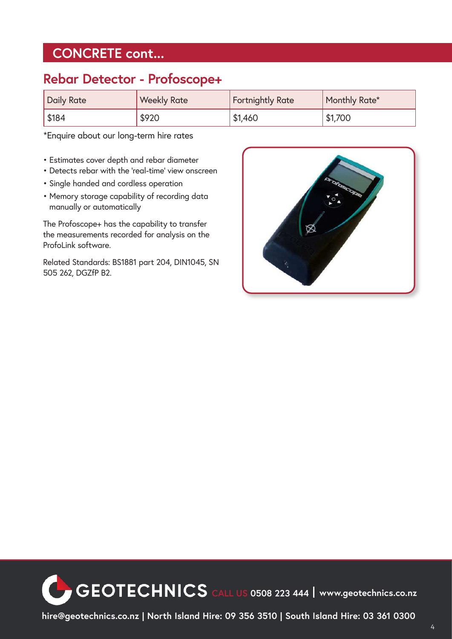## **CONCRETE cont...**

#### **Rebar Detector - Profoscope+**

| <b>Daily Rate</b> | <b>Weekly Rate</b> | <b>Fortnightly Rate</b> | Monthly Rate* |
|-------------------|--------------------|-------------------------|---------------|
| \$184             | \$920              | \$1,460                 | \$1,700       |

\*Enquire about our long-term hire rates

- Estimates cover depth and rebar diameter
- Detects rebar with the 'real-time' view onscreen
- Single handed and cordless operation
- Memory storage capability of recording data manually or automatically

The Profoscope+ has the capability to transfer the measurements recorded for analysis on the ProfoLink software.

Related Standards: BS1881 part 204, DIN1045, SN 505 262, DGZfP B2.



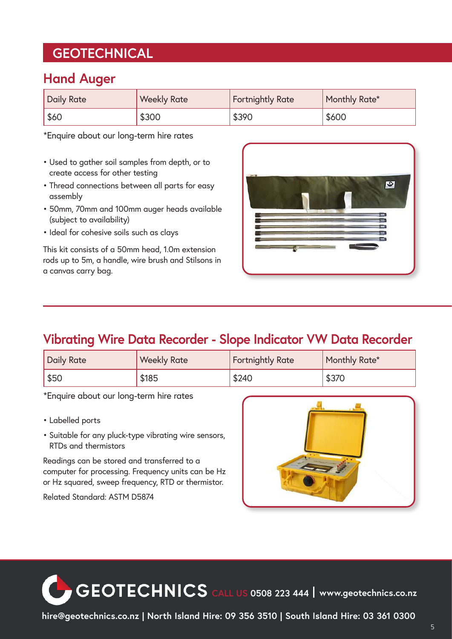## **GEOTECHNICAL**

#### **Hand Auger**

| Daily Rate | <b>Weekly Rate</b> | Fortnightly Rate | Monthly Rate* |
|------------|--------------------|------------------|---------------|
| \$60       | \$300              | \$390            | \$600         |

\*Enquire about our long-term hire rates

- Used to gather soil samples from depth, or to create access for other testing
- Thread connections between all parts for easy assembly
- 50mm, 70mm and 100mm auger heads available (subject to availability)
- Ideal for cohesive soils such as clays

This kit consists of a 50mm head, 1.0m extension rods up to 5m, a handle, wire brush and Stilsons in a canvas carry bag.

| $\rightarrow$ |   |        | $\bullet$ |
|---------------|---|--------|-----------|
| 疅<br>--       | ۰ | $\sim$ | ≘         |

#### **Vibrating Wire Data Recorder - Slope Indicator VW Data Recorder**

| <b>Daily Rate</b> | <b>Weekly Rate</b> | <b>Fortnightly Rate</b> | Monthly Rate* |
|-------------------|--------------------|-------------------------|---------------|
| \$50              | \$185              | \$240                   | \$370         |

\*Enquire about our long-term hire rates

- Labelled ports
- Suitable for any pluck-type vibrating wire sensors, RTDs and thermistors

Readings can be stored and transferred to a computer for processing. Frequency units can be Hz or Hz squared, sweep frequency, RTD or thermistor.

Related Standard: ASTM D5874



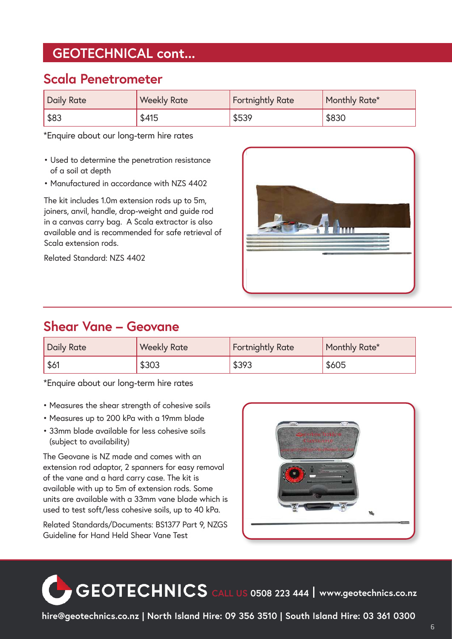## **GEOTECHNICAL cont...**

#### **Scala Penetrometer**

| Daily Rate | <b>Weekly Rate</b> | <b>Fortnightly Rate</b> | Monthly Rate* |
|------------|--------------------|-------------------------|---------------|
| \$83       | \$415              | \$539                   | \$830         |

\*Enquire about our long-term hire rates

- Used to determine the penetration resistance of a soil at depth
- Manufactured in accordance with NZS 4402

The kit includes 1.0m extension rods up to 5m, joiners, anvil, handle, drop-weight and guide rod in a canvas carry bag. A Scala extractor is also available and is recommended for safe retrieval of Scala extension rods.

Related Standard: NZS 4402



#### **Shear Vane – Geovane**

| <b>Daily Rate</b> | <b>Weekly Rate</b> | <b>Fortnightly Rate</b> | Monthly Rate* |
|-------------------|--------------------|-------------------------|---------------|
| \$61              | \$303              | \$393                   | \$605         |

\*Enquire about our long-term hire rates

- Measures the shear strength of cohesive soils
- Measures up to 200 kPa with a 19mm blade
- 33mm blade available for less cohesive soils (subject to availability)

The Geovane is NZ made and comes with an extension rod adaptor, 2 spanners for easy removal of the vane and a hard carry case. The kit is available with up to 5m of extension rods. Some units are available with a 33mm vane blade which is used to test soft/less cohesive soils, up to 40 kPa.

Related Standards/Documents: BS1377 Part 9, NZGS Guideline for Hand Held Shear Vane Test



**CALL US 0508 223 444 www.geotechnics.co.nz**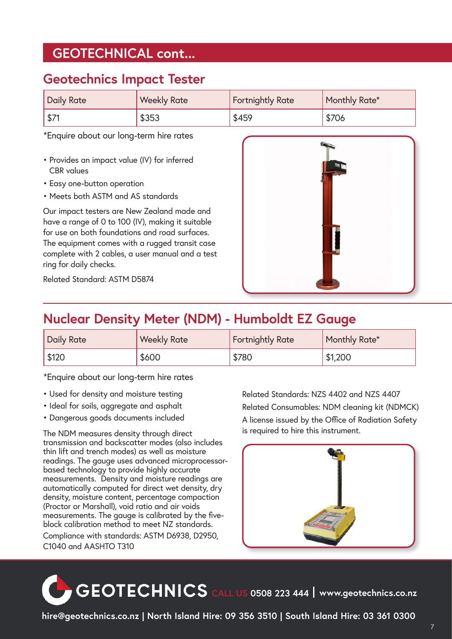#### **GEOTECHNICAL cont...**

#### **Geotechnics Impact Tester**

| <b>Daily Rate</b> | <b>Weekly Rate</b> | <b>Fortnightly Rate</b> | Monthly Rate* |
|-------------------|--------------------|-------------------------|---------------|
| $$7^{\circ}$      | \$353              | \$459                   | \$706         |

\*Enquire about our long-term hire rates

- Provides an impact value (IV) for inferred CBR values
- Easy one-button operation
- Meets both ASTM and AS standards

Our impact testers are New Zealand made and have a range of 0 to 100 (IV), making it suitable for use on both foundations and road surfaces. The equipment comes with a rugged transit case complete with 2 cables, a user manual and a test ring for daily checks.



Related Standard: ASTM D5874

## **Nuclear Density Meter (NDM) - Humboldt EZ Gauge**

| <b>Daily Rate</b> | <b>Weekly Rate</b> | <b>Fortnightly Rate</b> | Monthly Rate* |
|-------------------|--------------------|-------------------------|---------------|
| \$120             | \$600              | \$780                   | \$1,200       |

\*Enquire about our long-term hire rates

- Used for density and moisture testing
- Ideal for soils, aggregate and asphalt
- Dangerous goods documents included

The NDM measures density through direct transmission and backscatter modes (also includes thin lift and trench modes) as well as moisture readings. The gauge uses advanced microprocessorbased technology to provide highly accurate measurements. Density and moisture readings are automatically computed for direct wet density, dry density, moisture content, percentage compaction (Proctor or Marshall), void ratio and air voids measurements. The gauge is calibrated by the fiveblock calibration method to meet NZ standards.

Compliance with standards: ASTM D6938, D2950, C1040 and AASHTO T310

Related Standards: NZS 4402 and NZS 4407 Related Consumables: NDM cleaning kit (NDMCK) A license issued by the Office of Radiation Safety is required to hire this instrument.



**CALL US 0508 223 444 www.geotechnics.co.nz**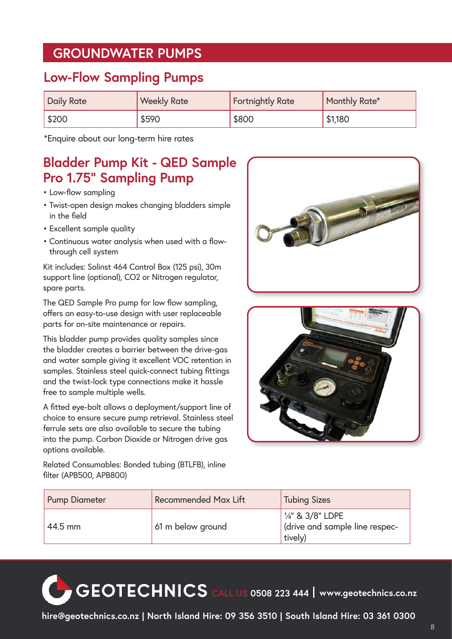#### **GROUNDWATER PUMPS**

#### **Low-Flow Sampling Pumps**

| Daily Rate      | <b>Weekly Rate</b> | <b>Fortnightly Rate</b> | Monthly Rate* |
|-----------------|--------------------|-------------------------|---------------|
| $\frac{1}{200}$ | \$590              | \$800                   | \$1,180       |

\*Enquire about our long-term hire rates

#### **Bladder Pump Kit - QED Sample Pro 1.75" Sampling Pump**

- Low-flow sampling
- Twist-open design makes changing bladders simple in the field
- Excellent sample quality
- Continuous water analysis when used with a flowthrough cell system

Kit includes: Solinst 464 Control Box (125 psi), 30m support line (optional), CO2 or Nitrogen regulator, spare parts.

The QED Sample Pro pump for low flow sampling, offers an easy-to-use design with user replaceable parts for on-site maintenance or repairs.

This bladder pump provides quality samples since the bladder creates a barrier between the drive-gas and water sample giving it excellent VOC retention in samples. Stainless steel quick-connect tubing fittings and the twist-lock type connections make it hassle free to sample multiple wells.

A fitted eye-bolt allows a deployment/support line of choice to ensure secure pump retrieval. Stainless steel ferrule sets are also available to secure the tubing into the pump. Carbon Dioxide or Nitrogen drive gas options available.

Related Consumables: Bonded tubing (BTLFB), inline filter (APB500, APB800)





| <b>Pump Diameter</b> | <b>Recommended Max Lift</b> | <b>Tubing Sizes</b>                                                   |
|----------------------|-----------------------------|-----------------------------------------------------------------------|
| 44.5 mm              | 61 m below ground           | $\frac{1}{4}$ & 3/8" LDPE<br>drive and sample line respec-<br>tively) |

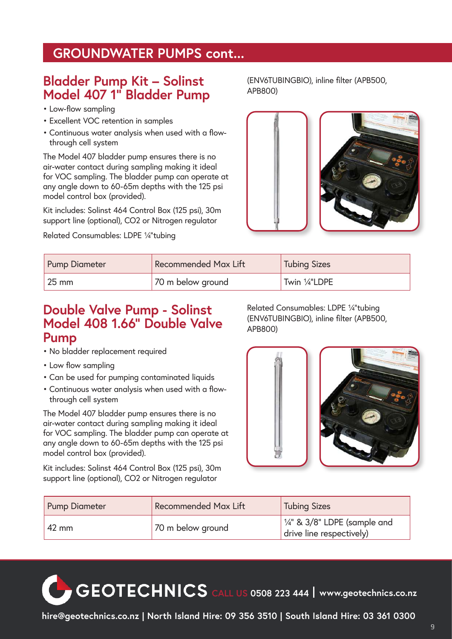#### **GROUNDWATER PUMPS cont...**

#### **Bladder Pump Kit – Solinst Model 407 1" Bladder Pump**

- Low-flow sampling
- Excellent VOC retention in samples
- Continuous water analysis when used with a flowthrough cell system

The Model 407 bladder pump ensures there is no air-water contact during sampling making it ideal for VOC sampling. The bladder pump can operate at any angle down to 60-65m depths with the 125 psi model control box (provided).

Kit includes: Solinst 464 Control Box (125 psi), 30m support line (optional), CO2 or Nitrogen regulator

Related Consumables: LDPE ¼"tubing

(ENV6TUBINGBIO), inline filter (APB500, APB800)



| <b>Pump Diameter</b> | <b>Recommended Max Lift</b> | <b>Tubing Sizes</b> |
|----------------------|-----------------------------|---------------------|
| $25 \text{ mm}$      | 70 m below ground           | Twin 1/4"LDPE       |

#### **Double Valve Pump - Solinst Model 408 1.66" Double Valve Pump**

Related Consumables: LDPE ¼"tubing (ENV6TUBINGBIO), inline filter (APB500, APB800)



- Low flow sampling
- Can be used for pumping contaminated liquids
- Continuous water analysis when used with a flowthrough cell system

The Model 407 bladder pump ensures there is no air-water contact during sampling making it ideal for VOC sampling. The bladder pump can operate at any angle down to 60-65m depths with the 125 psi model control box (provided).

Kit includes: Solinst 464 Control Box (125 psi), 30m support line (optional), CO2 or Nitrogen regulator



| <b>Pump Diameter</b> | <b>Recommended Max Lift</b> | <b>Tubing Sizes</b>                                         |
|----------------------|-----------------------------|-------------------------------------------------------------|
| $42 \text{ mm}$      | 70 m below ground           | $1/4$ " & 3/8" LDPE (sample and<br>drive line respectively) |

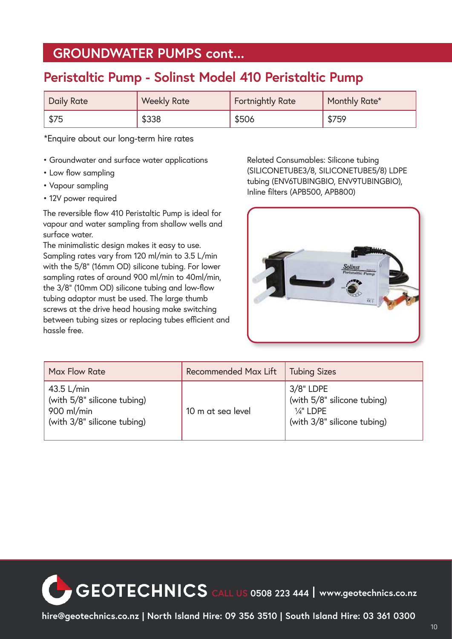#### **GROUNDWATER PUMPS cont...**

## **Peristaltic Pump - Solinst Model 410 Peristaltic Pump**

| <b>Daily Rate</b> | <b>Weekly Rate</b> | Fortnightly Rate | Monthly Rate* |
|-------------------|--------------------|------------------|---------------|
| \$75              | \$338              | \$506            | \$759         |

\*Enquire about our long-term hire rates

- Groundwater and surface water applications
- Low flow sampling
- Vapour sampling
- 12V power required

The reversible flow 410 Peristaltic Pump is ideal for vapour and water sampling from shallow wells and surface water.

The minimalistic design makes it easy to use. Sampling rates vary from 120 ml/min to 3.5 L/min with the 5/8" (16mm OD) silicone tubing. For lower sampling rates of around 900 ml/min to 40ml/min, the 3/8" (10mm OD) silicone tubing and low-flow tubing adaptor must be used. The large thumb screws at the drive head housing make switching between tubing sizes or replacing tubes efficient and hassle free.

Related Consumables: Silicone tubing (SILICONETUBE3/8, SILICONETUBE5/8) LDPE tubing (ENV6TUBINGBIO, ENV9TUBINGBIO), Inline filters (APB500, APB800)



| Max Flow Rate                                                                            | <b>Recommended Max Lift</b> | <b>Tubing Sizes</b>                                                                               |
|------------------------------------------------------------------------------------------|-----------------------------|---------------------------------------------------------------------------------------------------|
| $43.5$ L/min<br>(with 5/8" silicone tubing)<br>900 ml/min<br>(with 3/8" silicone tubing) | 10 m at sea level           | $3/8"$ LDPE<br>(with 5/8" silicone tubing)<br>$\frac{1}{4}$ " LDPE<br>(with 3/8" silicone tubing) |

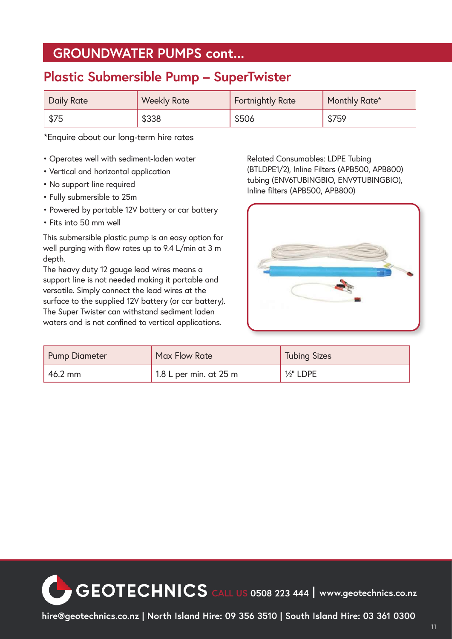#### **GROUNDWATER PUMPS cont...**

#### **Plastic Submersible Pump – SuperTwister**

| Daily Rate | <b>Weekly Rate</b> | <b>Fortnightly Rate</b> | Monthly Rate* |
|------------|--------------------|-------------------------|---------------|
| \$75       | \$338              | \$506                   | \$759         |

\*Enquire about our long-term hire rates

- Operates well with sediment-laden water
- Vertical and horizontal application
- No support line required
- Fully submersible to 25m
- Powered by portable 12V battery or car battery
- Fits into 50 mm well

This submersible plastic pump is an easy option for well purging with flow rates up to 9.4 L/min at 3 m depth.

The heavy duty 12 gauge lead wires means a support line is not needed making it portable and versatile. Simply connect the lead wires at the surface to the supplied 12V battery (or car battery). The Super Twister can withstand sediment laden waters and is not confined to vertical applications.

Related Consumables: LDPE Tubing (BTLDPE1/2), Inline Filters (APB500, APB800) tubing (ENV6TUBINGBIO, ENV9TUBINGBIO), Inline filters (APB500, APB800)



| <b>Pump Diameter</b> | Max Flow Rate            | <b>Tubing Sizes</b> |
|----------------------|--------------------------|---------------------|
| 46.2 mm              | 1.8 L per min. at $25$ m | $1/2$ " LDPE        |

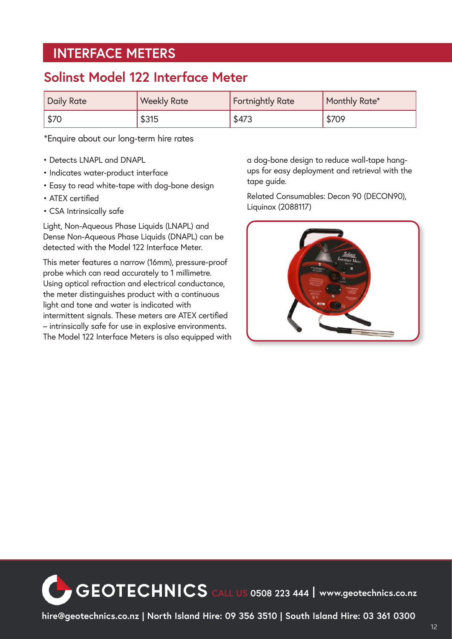#### **INTERFACE METERS**

#### **Solinst Model 122 Interface Meter**

| Daily Rate | <b>Weekly Rate</b> | <b>Fortnightly Rate</b> | Monthly Rate* |
|------------|--------------------|-------------------------|---------------|
| \$70       | \$315              | \$473                   | \$709         |

\*Enquire about our long-term hire rates

- Detects LNAPL and DNAPL
- Indicates water-product interface
- Easy to read white-tape with dog-bone design
- ATEX certified
- CSA Intrinsically safe

Light, Non-Aqueous Phase Liquids (LNAPL) and Dense Non-Aqueous Phase Liquids (DNAPL) can be detected with the Model 122 Interface Meter.

This meter features a narrow (16mm), pressure-proof probe which can read accurately to 1 millimetre. Using optical refraction and electrical conductance, the meter distinguishes product with a continuous light and tone and water is indicated with intermittent signals. These meters are ATEX certified – intrinsically safe for use in explosive environments. The Model 122 Interface Meters is also equipped with a dog-bone design to reduce wall-tape hangups for easy deployment and retrieval with the tape guide.

Related Consumables: Decon 90 (DECON90), Liquinox (2088117)



**CEOTECHNICS** CALL US 0508 223 444 Www.geotechnics.co.nz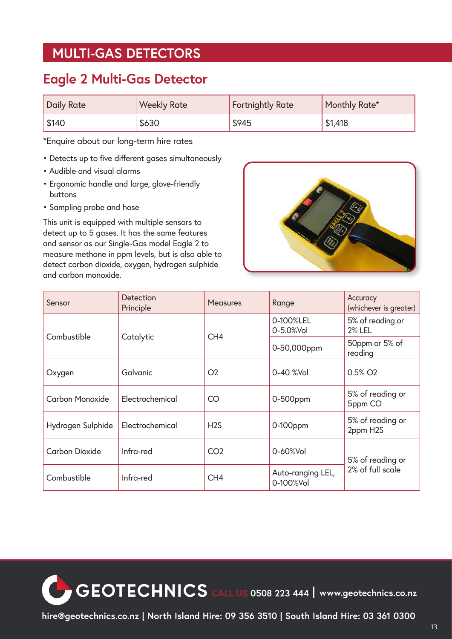#### **MULTI-GAS DETECTORS**

#### **Eagle 2 Multi-Gas Detector**

| <b>Daily Rate</b> | <b>Weekly Rate</b> | <b>Fortnightly Rate</b> | Monthly Rate* |
|-------------------|--------------------|-------------------------|---------------|
| \$140             | \$630              | \$945                   | \$1,418       |

\*Enquire about our long-term hire rates

- Detects up to five different gases simultaneously
- Audible and visual alarms
- Ergonomic handle and large, glove-friendly buttons
- Sampling probe and hose

This unit is equipped with multiple sensors to detect up to 5 gases. It has the same features and sensor as our Single-Gas model Eagle 2 to measure methane in ppm levels, but is also able to detect carbon dioxide, oxygen, hydrogen sulphide and carbon monoxide.



| Sensor                 | Detection<br>Principle | <b>Measures</b> | Range                          | Accuracy<br>(whichever is greater) |
|------------------------|------------------------|-----------------|--------------------------------|------------------------------------|
|                        |                        |                 | 0-100%LEL<br>0-5.0%Vol         | 5% of reading or<br><b>2% LEL</b>  |
| Combustible            | Catalytic              | CH <sub>4</sub> | 0-50,000ppm                    | 50ppm or 5% of<br>reading          |
| Oxygen                 | Galvanic               | O <sub>2</sub>  | 0-40 %Vol                      | $0.5\%$ O <sub>2</sub>             |
| <b>Carbon Monoxide</b> | Electrochemical        | CO              | 0-500ppm                       | 5% of reading or<br>5ppm CO        |
| Hydrogen Sulphide      | Electrochemical        | H2S             | $0-100$ ppm                    | 5% of reading or<br>2ppm H2S       |
| Carbon Dioxide         | Infra-red              | CO <sub>2</sub> | $0 - 60%$ Vol                  | 5% of reading or                   |
| Combustible            | Infra-red              | CH <sub>4</sub> | Auto-ranging LEL,<br>0-100%Vol | 2% of full scale                   |

**CEOTECHNICS** CALL US 0508 223 444 | www.geotechnics.co.nz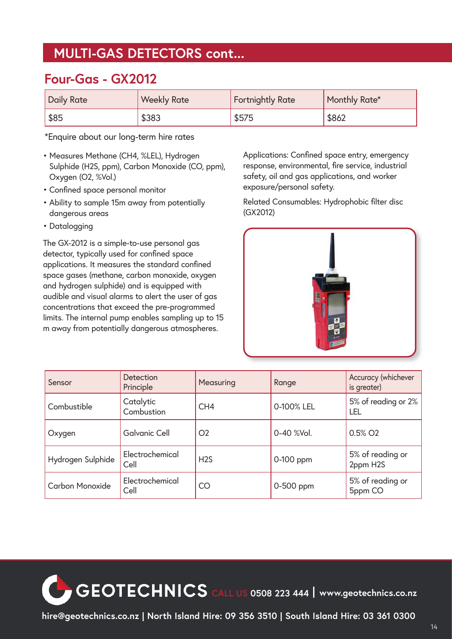#### **MULTI-GAS DETECTORS cont...**

#### **Four-Gas - GX2012**

| <b>Daily Rate</b> | <b>Weekly Rate</b> | <b>Fortnightly Rate</b> | Monthly Rate* |
|-------------------|--------------------|-------------------------|---------------|
| \$85              | \$383              | \$575                   | \$862         |

\*Enquire about our long-term hire rates

- Measures Methane (CH4, %LEL), Hydrogen Sulphide (H2S, ppm), Carbon Monoxide (CO, ppm), Oxygen (O2, %Vol.)
- Confined space personal monitor
- Ability to sample 15m away from potentially dangerous areas
- Datalogging

The GX-2012 is a simple-to-use personal gas detector, typically used for confined space applications. It measures the standard confined space gases (methane, carbon monoxide, oxygen and hydrogen sulphide) and is equipped with audible and visual alarms to alert the user of gas concentrations that exceed the pre-programmed limits. The internal pump enables sampling up to 15 m away from potentially dangerous atmospheres.

Applications: Confined space entry, emergency response, environmental, fire service, industrial safety, oil and gas applications, and worker exposure/personal safety.

Related Consumables: Hydrophobic filter disc (GX2012)



| Sensor                 | Detection<br>Principle  | Measuring       | Range      | Accuracy (whichever<br>is greater) |
|------------------------|-------------------------|-----------------|------------|------------------------------------|
| Combustible            | Catalytic<br>Combustion | CH <sub>4</sub> | 0-100% LEL | 5% of reading or 2%<br>LEL         |
| Oxygen                 | <b>Galvanic Cell</b>    | O <sub>2</sub>  | 0-40 %Vol. | 0.5% O <sub>2</sub>                |
| Hydrogen Sulphide      | Electrochemical<br>Cell | H2S             | 0-100 ppm  | 5% of reading or<br>2ppm H2S       |
| <b>Carbon Monoxide</b> | Electrochemical<br>Cell | CO              | 0-500 ppm  | 5% of reading or<br>5ppm CO        |

**CEOTECHNICS** CALL US 0508 223 444 | www.geotechnics.co.nz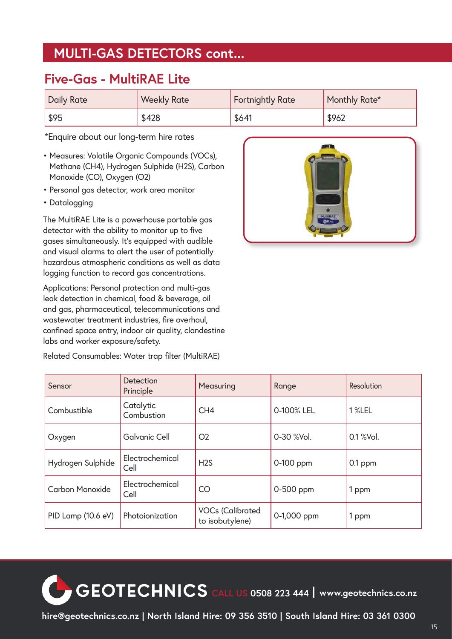#### **MULTI-GAS DETECTORS cont...**

#### **Five-Gas - MultiRAE Lite**

| <b>Daily Rate</b> | <b>Weekly Rate</b> | Fortnightly Rate | Monthly Rate* |
|-------------------|--------------------|------------------|---------------|
| \$95              | \$428              | \$641            | \$962         |

\*Enquire about our long-term hire rates

- Measures: Volatile Organic Compounds (VOCs), Methane (CH4), Hydrogen Sulphide (H2S), Carbon Monoxide (CO), Oxygen (O2)
- Personal gas detector, work area monitor
- Datalogging

The MultiRAE Lite is a powerhouse portable gas detector with the ability to monitor up to five gases simultaneously. It's equipped with audible and visual alarms to alert the user of potentially hazardous atmospheric conditions as well as data logging function to record gas concentrations.

Applications: Personal protection and multi-gas leak detection in chemical, food & beverage, oil and gas, pharmaceutical, telecommunications and wastewater treatment industries, fire overhaul, confined space entry, indoor air quality, clandestine labs and worker exposure/safety.

Related Consumables: Water trap filter (MultiRAE)



| Sensor             | Detection<br>Principle  | Measuring                                  | Range       | Resolution |
|--------------------|-------------------------|--------------------------------------------|-------------|------------|
| Combustible        | Catalytic<br>Combustion | CH <sub>4</sub>                            | 0-100% LEL  | 1 %LEL     |
| Oxygen             | <b>Galvanic Cell</b>    | O <sub>2</sub>                             | 0-30 %Vol.  | 0.1 % Vol. |
| Hydrogen Sulphide  | Electrochemical<br>Cell | H2S                                        | 0-100 ppm   | $0.1$ ppm  |
| Carbon Monoxide    | Electrochemical<br>Cell | <b>CO</b>                                  | 0-500 ppm   | 1 ppm      |
| PID Lamp (10.6 eV) | Photoionization         | <b>VOCs (Calibrated</b><br>to isobutylene) | 0-1,000 ppm | 1 ppm      |

**CEOTECHNICS** CALL US 0508 223 444 | www.geotechnics.co.nz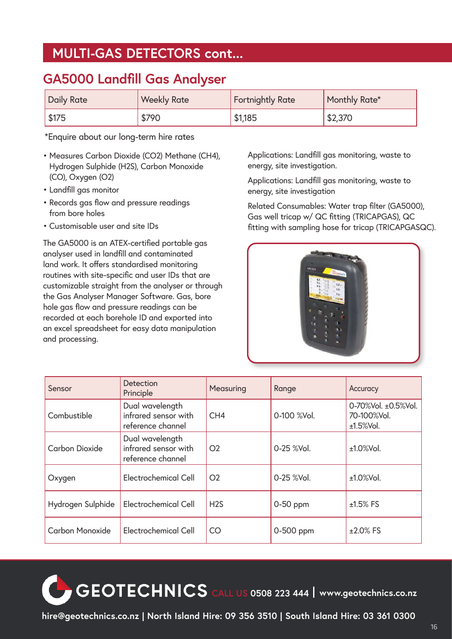#### **MULTI-GAS DETECTORS cont...**

#### **GA5000 Landfill Gas Analyser**

| <b>Daily Rate</b>   | <b>Weekly Rate</b> | <b>Fortnightly Rate</b> | <b>Monthly Rate*</b> |
|---------------------|--------------------|-------------------------|----------------------|
| $\frac{1}{2}$ \$175 | \$790              | \$1,185                 | \$2,370              |

\*Enquire about our long-term hire rates

- Measures Carbon Dioxide (CO2) Methane (CH4), Hydrogen Sulphide (H2S), Carbon Monoxide (CO), Oxygen (O2)
- Landfill gas monitor
- Records gas flow and pressure readings from bore holes
- Customisable user and site IDs

The GA5000 is an ATEX-certified portable gas analyser used in landfill and contaminated land work. It offers standardised monitoring routines with site-specific and user IDs that are customizable straight from the analyser or through the Gas Analyser Manager Software. Gas, bore hole gas flow and pressure readings can be recorded at each borehole ID and exported into an excel spreadsheet for easy data manipulation and processing.

Applications: Landfill gas monitoring, waste to energy, site investigation.

Applications: Landfill gas monitoring, waste to energy, site investigation

Related Consumables: Water trap filter (GA5000), Gas well tricap w/ QC fitting (TRICAPGAS), QC fitting with sampling hose for tricap (TRICAPGASQC).



| Sensor            | Detection<br>Principle                                       | Measuring       | Range       | Accuracy                                        |
|-------------------|--------------------------------------------------------------|-----------------|-------------|-------------------------------------------------|
| Combustible       | Dual wavelength<br>infrared sensor with<br>reference channel | CH <sub>4</sub> | 0-100 %Vol. | 0-70%Vol. ±0.5%Vol.<br>70-100%Vol.<br>±1.5%Vol. |
| Carbon Dioxide    | Dual wavelength<br>infrared sensor with<br>reference channel | O <sub>2</sub>  | 0-25 %Vol.  | $±1.0\%$ Vol.                                   |
| Oxygen            | Electrochemical Cell                                         | O <sub>2</sub>  | 0-25 %Vol.  | $±1.0\%$ Vol.                                   |
| Hydrogen Sulphide | Electrochemical Cell                                         | H2S             | $0-50$ ppm  | $±1.5\%$ FS                                     |
| Carbon Monoxide   | Electrochemical Cell                                         | CO              | 0-500 ppm   | $±2.0\%$ FS                                     |

**CEOTECHNICS** CALL US 0508 223 444 | www.geotechnics.co.nz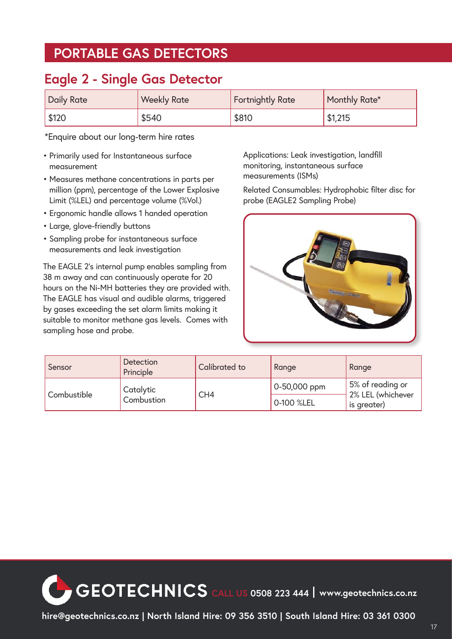#### **PORTABLE GAS DETECTORS**

#### **Eagle 2 - Single Gas Detector**

| <b>Daily Rate</b> | <b>Weekly Rate</b> | <b>Fortnightly Rate</b> | Monthly Rate* |
|-------------------|--------------------|-------------------------|---------------|
| \$120             | \$540              | \$810                   | \$1,215       |

\*Enquire about our long-term hire rates

- Primarily used for Instantaneous surface measurement
- Measures methane concentrations in parts per million (ppm), percentage of the Lower Explosive Limit (%LEL) and percentage volume (%Vol.)
- Ergonomic handle allows 1 handed operation
- Large, glove-friendly buttons
- Sampling probe for instantaneous surface measurements and leak investigation

The EAGLE 2's internal pump enables sampling from 38 m away and can continuously operate for 20 hours on the Ni-MH batteries they are provided with. The EAGLE has visual and audible alarms, triggered by gases exceeding the set alarm limits making it suitable to monitor methane gas levels. Comes with sampling hose and probe.

Applications: Leak investigation, landfill monitoring, instantaneous surface measurements (ISMs)

Related Consumables: Hydrophobic filter disc for probe (EAGLE2 Sampling Probe)



| Sensor                                 | Detection<br>Principle | Calibrated to | Range                            | Range            |
|----------------------------------------|------------------------|---------------|----------------------------------|------------------|
| Catalytic<br>Combustible<br>Combustion |                        |               | 0-50,000 ppm                     | 5% of reading or |
|                                        | CH <sub>4</sub>        | 0-100 %LEL    | 2% LEL (whichever<br>is greater) |                  |

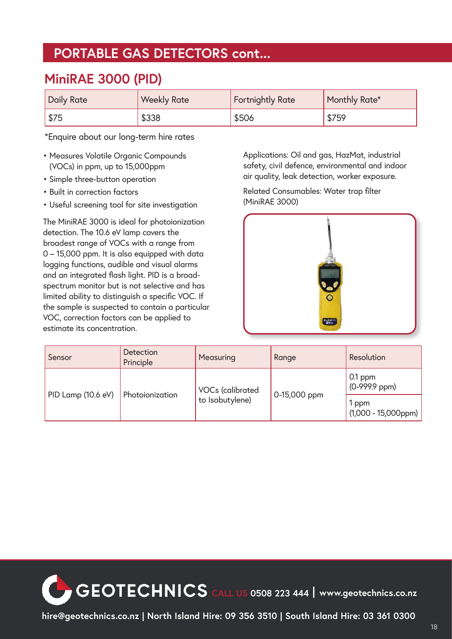#### **PORTABLE GAS DETECTORS cont...**

#### **MiniRAE 3000 (PID)**

| <b>Daily Rate</b> | <b>Weekly Rate</b> | <b>Fortnightly Rate</b> | Monthly Rate* |
|-------------------|--------------------|-------------------------|---------------|
| \$75              | \$338              | \$506                   | \$759         |

\*Enquire about our long-term hire rates

- Measures Volatile Organic Compounds (VOCs) in ppm, up to 15,000ppm
- Simple three-button operation
- Built in correction factors
- Useful screening tool for site investigation

The MiniRAE 3000 is ideal for photoionization detection. The 10.6 eV lamp covers the broadest range of VOCs with a range from 0 – 15,000 ppm. It is also equipped with data logging functions, audible and visual alarms and an integrated flash light. PID is a broadspectrum monitor but is not selective and has limited ability to distinguish a specific VOC. If the sample is suspected to contain a particular VOC, correction factors can be applied to estimate its concentration.

Applications: Oil and gas, HazMat, industrial safety, civil defence, environmental and indoor air quality, leak detection, worker exposure.

Related Consumables: Water trap filter (MiniRAE 3000)



| Sensor             | Detection<br>Principle | Measuring                                  | Range        | Resolution                         |
|--------------------|------------------------|--------------------------------------------|--------------|------------------------------------|
| PID Lamp (10.6 eV) |                        | <b>VOCs (calibrated</b><br>to Isobutylene) | 0-15,000 ppm | $0.1$ ppm<br>$(0-999.9$ ppm)       |
|                    | Photoionization        |                                            |              | 1 ppm<br>$(1,000 - 15,000$ ppm $)$ |

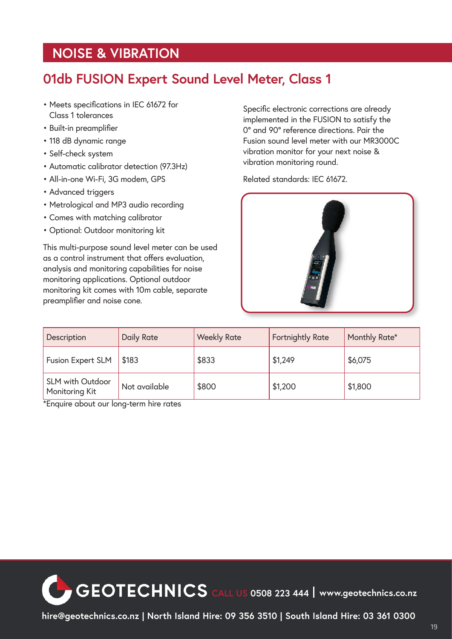#### **NOISE & VIBRATION**

#### **01db FUSION Expert Sound Level Meter, Class 1**

- Meets specifications in IEC 61672 for Class 1 tolerances
- Built-in preamplifier
- 118 dB dynamic range
- Self-check system
- Automatic calibrator detection (97.3Hz)
- All-in-one Wi-Fi, 3G modem, GPS
- Advanced triggers
- Metrological and MP3 audio recording
- Comes with matching calibrator
- Optional: Outdoor monitoring kit

This multi-purpose sound level meter can be used as a control instrument that offers evaluation, analysis and monitoring capabilities for noise monitoring applications. Optional outdoor monitoring kit comes with 10m cable, separate preamplifier and noise cone.

Specific electronic corrections are already implemented in the FUSION to satisfy the 0° and 90° reference directions. Pair the Fusion sound level meter with our MR3000C vibration monitor for your next noise & vibration monitoring round.

Related standards: IEC 61672.



| Description                               | <b>Daily Rate</b> | <b>Weekly Rate</b> | <b>Fortnightly Rate</b> | Monthly Rate* |
|-------------------------------------------|-------------------|--------------------|-------------------------|---------------|
| <b>Fusion Expert SLM</b>                  | \$183             | \$833              | \$1,249                 | \$6,075       |
| <b>SLM with Outdoor</b><br>Monitoring Kit | Not available     | \$800              | \$1,200                 | \$1,800       |

\*Enquire about our long-term hire rates

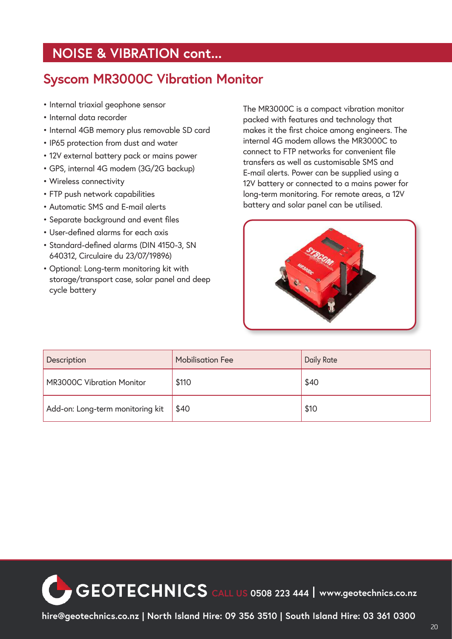#### **NOISE & VIBRATION cont...**

#### **Syscom MR3000C Vibration Monitor**

- Internal triaxial geophone sensor
- Internal data recorder
- Internal 4GB memory plus removable SD card
- IP65 protection from dust and water
- 12V external battery pack or mains power
- GPS, internal 4G modem (3G/2G backup)
- Wireless connectivity
- FTP push network capabilities
- Automatic SMS and E-mail alerts
- Separate background and event files
- User-defined alarms for each axis
- Standard-defined alarms (DIN 4150-3, SN 640312, Circulaire du 23/07/19896)
- Optional: Long-term monitoring kit with storage/transport case, solar panel and deep cycle battery

The MR3000C is a compact vibration monitor packed with features and technology that makes it the first choice among engineers. The internal 4G modem allows the MR3000C to connect to FTP networks for convenient file transfers as well as customisable SMS and E-mail alerts. Power can be supplied using a 12V battery or connected to a mains power for long-term monitoring. For remote areas, a 12V battery and solar panel can be utilised.



| Description                      | <b>Mobilisation Fee</b> | <b>Daily Rate</b> |
|----------------------------------|-------------------------|-------------------|
| <b>MR3000C Vibration Monitor</b> | \$110                   | \$40              |
| Add-on: Long-term monitoring kit | \$40                    | \$10              |

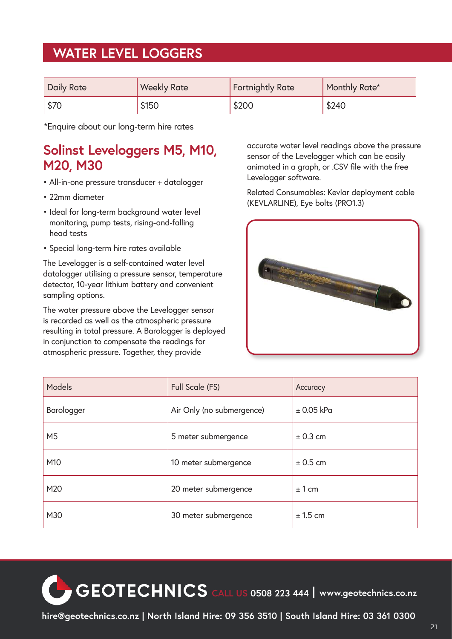#### **WATER LEVEL LOGGERS**

| Daily Rate   | <b>Weekly Rate</b> | <b>Fortnightly Rate</b> | Monthly Rate* |
|--------------|--------------------|-------------------------|---------------|
| $\sqrt{570}$ | \$150              | \$200                   | \$240         |

\*Enquire about our long-term hire rates

#### **Solinst Leveloggers M5, M10, M20, M30**

- All-in-one pressure transducer + datalogger
- 22mm diameter
- Ideal for long-term background water level monitoring, pump tests, rising-and-falling head tests
- Special long-term hire rates available

The Levelogger is a self-contained water level datalogger utilising a pressure sensor, temperature detector, 10-year lithium battery and convenient sampling options.

The water pressure above the Levelogger sensor is recorded as well as the atmospheric pressure resulting in total pressure. A Barologger is deployed in conjunction to compensate the readings for atmospheric pressure. Together, they provide

accurate water level readings above the pressure sensor of the Levelogger which can be easily animated in a graph, or .CSV file with the free Levelogger software.

Related Consumables: Kevlar deployment cable (KEVLARLINE), Eye bolts (PRO1.3)



| Models         | Full Scale (FS)           | Accuracy       |
|----------------|---------------------------|----------------|
| Barologger     | Air Only (no submergence) | $\pm$ 0.05 kPa |
| M <sub>5</sub> | 5 meter submergence       | ± 0.3 cm       |
| M10            | 10 meter submergence      | $± 0.5$ cm     |
| M20            | 20 meter submergence      | ± 1 cm         |
| M30            | 30 meter submergence      | $± 1.5$ cm     |

**CEOTECHNICS** CALL US 0508 223 444 | www.geotechnics.co.nz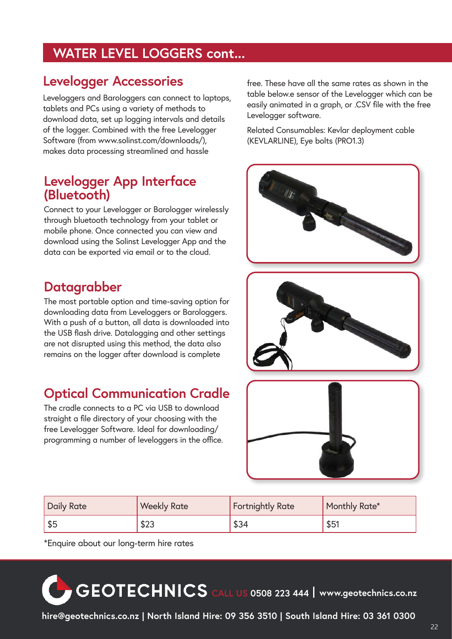#### **WATER LEVEL LOGGERS cont...**

#### **Levelogger Accessories**

Leveloggers and Barologgers can connect to laptops, tablets and PCs using a variety of methods to download data, set up logging intervals and details of the logger. Combined with the free Levelogger Software (from www.solinst.com/downloads/), makes data processing streamlined and hassle

#### **Levelogger App Interface (Bluetooth)**

Connect to your Levelogger or Barologger wirelessly through bluetooth technology from your tablet or mobile phone. Once connected you can view and download using the Solinst Levelogger App and the data can be exported via email or to the cloud.

#### **Datagrabber**

The most portable option and time-saving option for downloading data from Leveloggers or Barologgers. With a push of a button, all data is downloaded into the USB flash drive. Datalogging and other settings are not disrupted using this method, the data also remains on the logger after download is complete

## **Optical Communication Cradle**

The cradle connects to a PC via USB to download straight a file directory of your choosing with the free Levelogger Software. Ideal for downloading/ programming a number of leveloggers in the office. free. These have all the same rates as shown in the table below.e sensor of the Levelogger which can be easily animated in a graph, or .CSV file with the free Levelogger software.

Related Consumables: Kevlar deployment cable (KEVLARLINE), Eye bolts (PRO1.3)



| Daily Rate | <b>Weekly Rate</b> | <b>Fortnightly Rate</b> | Monthly Rate* |
|------------|--------------------|-------------------------|---------------|
| \$5        | \$23               | \$34                    | \$51          |

\*Enquire about our long-term hire rates

# **CALL US 0508 223 444 www.geotechnics.co.nz**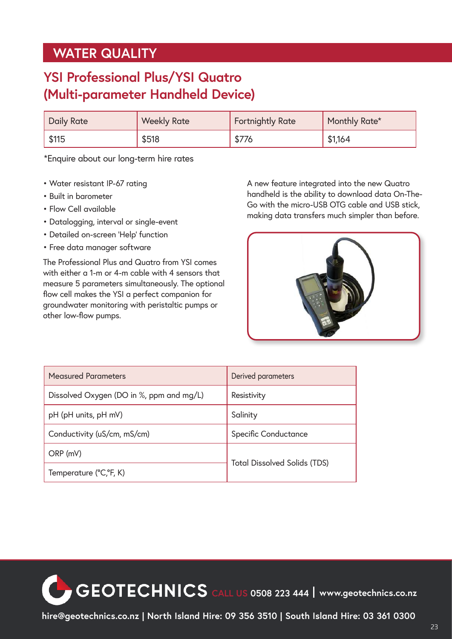#### **WATER QUALITY**

### **YSI Professional Plus/YSI Quatro (Multi-parameter Handheld Device)**

| <b>Daily Rate</b> | <b>Weekly Rate</b> | <b>Fortnightly Rate</b> | Monthly Rate* |
|-------------------|--------------------|-------------------------|---------------|
| \$115             | \$518              | \$776                   | \$1,164       |

\*Enquire about our long-term hire rates

- Water resistant IP-67 rating
- Built in barometer
- Flow Cell available
- Datalogging, interval or single-event
- Detailed on-screen 'Help' function
- Free data manager software

The Professional Plus and Quatro from YSI comes with either a 1-m or 4-m cable with 4 sensors that measure 5 parameters simultaneously. The optional flow cell makes the YSI a perfect companion for groundwater monitoring with peristaltic pumps or other low-flow pumps.

A new feature integrated into the new Quatro handheld is the ability to download data On-The-Go with the micro-USB OTG cable and USB stick, making data transfers much simpler than before.



| <b>Measured Parameters</b>               | Derived parameters                  |
|------------------------------------------|-------------------------------------|
| Dissolved Oxygen (DO in %, ppm and mg/L) | Resistivity                         |
| pH (pH units, pH mV)                     | Salinity                            |
| Conductivity (uS/cm, mS/cm)              | <b>Specific Conductance</b>         |
| ORP (mV)                                 |                                     |
| Temperature (°C,°F, K)                   | <b>Total Dissolved Solids (TDS)</b> |

**CEOTECHNICS** CALL US 0508 223 444 | www.geotechnics.co.nz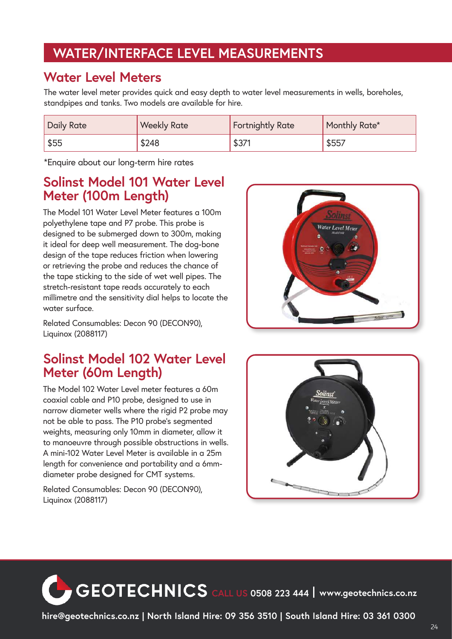#### **WATER/INTERFACE LEVEL MEASUREMENTS**

#### **Water Level Meters**

The water level meter provides quick and easy depth to water level measurements in wells, boreholes, standpipes and tanks. Two models are available for hire.

| <b>Daily Rate</b> | <b>Weekly Rate</b> | <b>Fortnightly Rate</b> | Monthly Rate* |
|-------------------|--------------------|-------------------------|---------------|
| \$55              | \$248              | \$37'                   | \$557         |

\*Enquire about our long-term hire rates

#### **Solinst Model 101 Water Level Meter (100m Length)**

The Model 101 Water Level Meter features a 100m polyethylene tape and P7 probe. This probe is designed to be submerged down to 300m, making it ideal for deep well measurement. The dog-bone design of the tape reduces friction when lowering or retrieving the probe and reduces the chance of the tape sticking to the side of wet well pipes. The stretch-resistant tape reads accurately to each millimetre and the sensitivity dial helps to locate the water surface.

Related Consumables: Decon 90 (DECON90), Liquinox (2088117)

#### **Solinst Model 102 Water Level Meter (60m Length)**

The Model 102 Water Level meter features a 60m coaxial cable and P10 probe, designed to use in narrow diameter wells where the rigid P2 probe may not be able to pass. The P10 probe's segmented weights, measuring only 10mm in diameter, allow it to manoeuvre through possible obstructions in wells. A mini-102 Water Level Meter is available in a 25m length for convenience and portability and a 6mmdiameter probe designed for CMT systems.

Related Consumables: Decon 90 (DECON90), Liquinox (2088117)





**CEOTECHNICS** CALL US 0508 223 444 | www.geotechnics.co.nz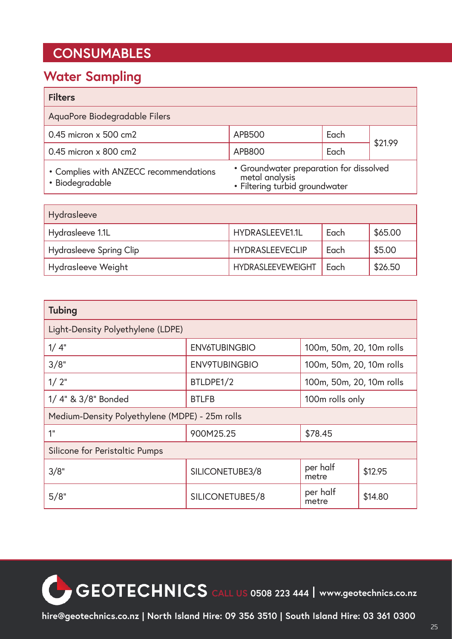#### **CONSUMABLES**

#### **Water Sampling**

| <b>Filters</b>                                            |                                                                                             |      |         |
|-----------------------------------------------------------|---------------------------------------------------------------------------------------------|------|---------|
| AquaPore Biodegradable Filers                             |                                                                                             |      |         |
| $0.45$ micron $x$ 500 cm2                                 | <b>APB500</b>                                                                               | Each | \$21.99 |
| $0.45$ micron $\times$ 800 cm2                            | <b>APB800</b>                                                                               | Each |         |
| • Complies with ANZECC recommendations<br>• Biodegradable | • Groundwater preparation for dissolved<br>metal analysis<br>• Filtering turbid groundwater |      |         |

| Hydrasleeve                    |                          |      |         |  |
|--------------------------------|--------------------------|------|---------|--|
| Hydrasleeve 1.1L               | HYDRASLEEVE1.1L          | Each | \$65.00 |  |
| <b>Hydrasleeve Spring Clip</b> | <b>HYDRASLEEVECLIP</b>   | Each | \$5.00  |  |
| Hydrasleeve Weight             | <b>HYDRASLEEVEWEIGHT</b> | Each | \$26.50 |  |

| <b>Tubing</b>                                    |                      |                          |         |  |  |
|--------------------------------------------------|----------------------|--------------------------|---------|--|--|
| Light-Density Polyethylene (LDPE)                |                      |                          |         |  |  |
| 1/4"                                             | <b>ENV6TUBINGBIO</b> | 100m, 50m, 20, 10m rolls |         |  |  |
| 3/8"                                             | <b>ENV9TUBINGBIO</b> | 100m, 50m, 20, 10m rolls |         |  |  |
| $1/2$ "<br>BTLDPE1/2<br>100m, 50m, 20, 10m rolls |                      |                          |         |  |  |
| 1/4" & 3/8" Bonded                               | <b>BTLFB</b>         | 100m rolls only          |         |  |  |
| Medium-Density Polyethylene (MDPE) - 25m rolls   |                      |                          |         |  |  |
| 1 <sup>''</sup>                                  | 900M25.25<br>\$78.45 |                          |         |  |  |
| Silicone for Peristaltic Pumps                   |                      |                          |         |  |  |
| 3/8"                                             | SILICONETUBE3/8      | per half<br>metre        | \$12.95 |  |  |
| 5/8"                                             | SILICONETUBE5/8      | per half<br>metre        | \$14.80 |  |  |

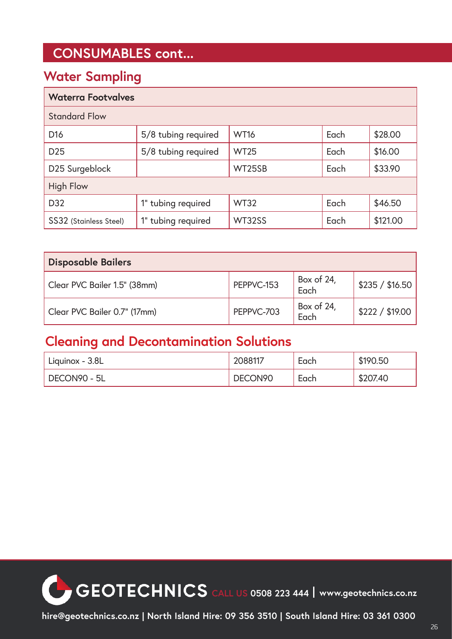#### **CONSUMABLES cont...**

#### **Water Sampling**

| <b>Waterra Footvalves</b> |                     |             |      |          |
|---------------------------|---------------------|-------------|------|----------|
| <b>Standard Flow</b>      |                     |             |      |          |
| D <sub>16</sub>           | 5/8 tubing required | <b>WT16</b> | Each | \$28.00  |
| D <sub>25</sub>           | 5/8 tubing required | <b>WT25</b> | Each | \$16.00  |
| D25 Surgeblock            |                     | WT25SB      | Each | \$33.90  |
| <b>High Flow</b>          |                     |             |      |          |
| D <sub>32</sub>           | 1" tubing required  | <b>WT32</b> | Each | \$46.50  |
| SS32 (Stainless Steel)    | 1" tubing required  | WT32SS      | Each | \$121.00 |

| <b>Disposable Bailers</b>    |            |                    |                 |  |
|------------------------------|------------|--------------------|-----------------|--|
| Clear PVC Bailer 1.5" (38mm) | PEPPVC-153 | Box of 24,<br>Each | \$235 / \$16.50 |  |
| Clear PVC Bailer 0.7" (17mm) | PEPPVC-703 | Box of 24,<br>Each | \$222 / \$19.00 |  |

#### **Cleaning and Decontamination Solutions**

| Liquinox - 3.8L | 2088117             | Each | \$190.50 |
|-----------------|---------------------|------|----------|
| DECON90 - 5L    | DECON <sub>90</sub> | Each | \$207.40 |

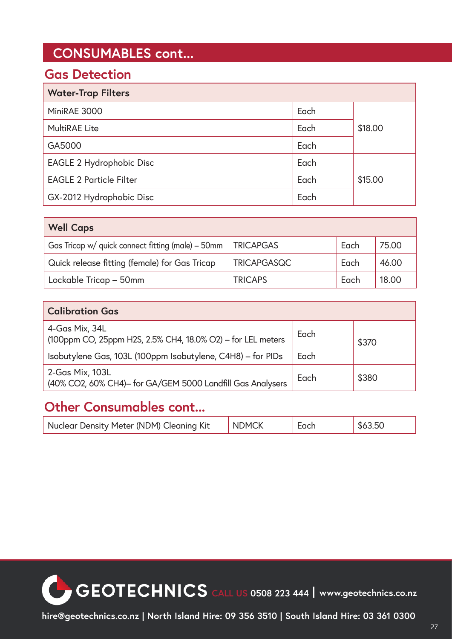#### **CONSUMABLES cont...**

#### **Gas Detection**

| <b>Water-Trap Filters</b>      |      |         |
|--------------------------------|------|---------|
| MiniRAE 3000                   | Each |         |
| <b>MultiRAE Lite</b>           | Each | \$18.00 |
| GA5000                         | Each |         |
| EAGLE 2 Hydrophobic Disc       | Each |         |
| <b>EAGLE 2 Particle Filter</b> | Each | \$15.00 |
| GX-2012 Hydrophobic Disc       | Each |         |

| <b>Well Caps</b>                                  |                    |      |       |  |
|---------------------------------------------------|--------------------|------|-------|--|
| Gas Tricap w/ quick connect fitting (male) – 50mm | <b>TRICAPGAS</b>   | Each | 75.00 |  |
| Quick release fitting (female) for Gas Tricap     | <b>TRICAPGASQC</b> | Each | 46.00 |  |
| Lockable Tricap - 50mm                            | <b>TRICAPS</b>     | Each | 18.00 |  |

| <b>Calibration Gas</b>                                                        |      |       |  |
|-------------------------------------------------------------------------------|------|-------|--|
| 4-Gas Mix, 34L<br>(100ppm CO, 25ppm H2S, 2.5% CH4, 18.0% O2) - for LEL meters | Each | \$370 |  |
| Isobutylene Gas, 103L (100ppm Isobutylene, C4H8) - for PIDs                   | Each |       |  |
| 2-Gas Mix, 103L<br>(40% CO2, 60% CH4)- for GA/GEM 5000 Landfill Gas Analysers | Each | \$380 |  |

#### **Other Consumables cont...**

| Nuclear Density Meter (NDM) Cleaning Kit | <b>NDMCK</b> | Each | \$63.50 |
|------------------------------------------|--------------|------|---------|
|------------------------------------------|--------------|------|---------|